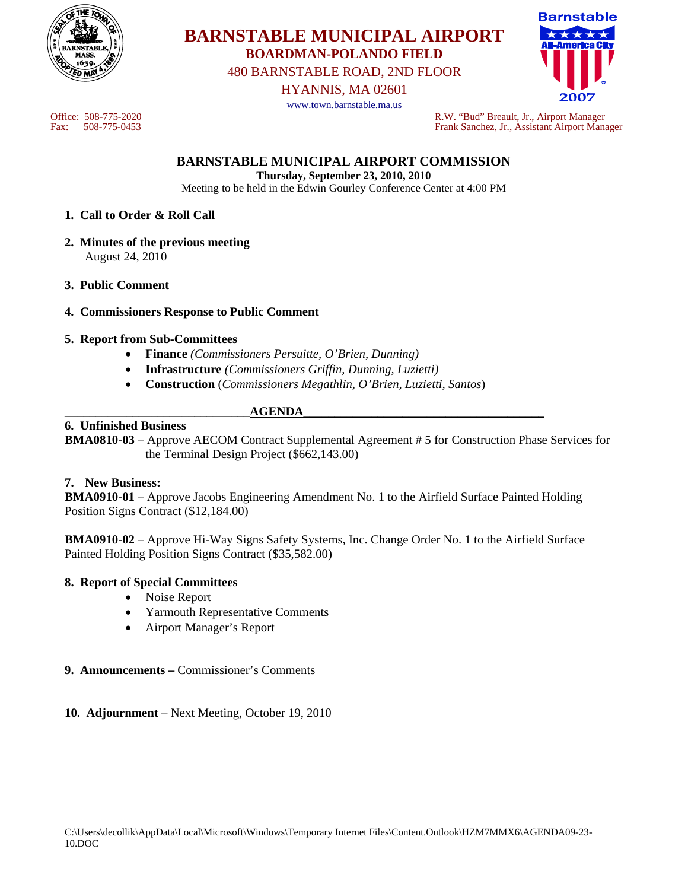

# **BARNSTABLE MUNICIPAL AIRPORT BOARDMAN-POLANDO FIELD**

480 BARNSTABLE ROAD, 2ND FLOOR

HYANNIS, MA 02601

www.town.barnstable.ma.us



Office: 508-775-2020 R.W. "Bud" Breault, Jr., Airport Manager Fax: 508-775-0453 Frank Sanchez, Jr., Assistant Airport Manager

## **BARNSTABLE MUNICIPAL AIRPORT COMMISSION**

**Thursday, September 23, 2010, 2010**  Meeting to be held in the Edwin Gourley Conference Center at 4:00 PM

#### **1. Call to Order & Roll Call**

- **2. Minutes of the previous meeting**  August 24, 2010
- **3. Public Comment**
- **4. Commissioners Response to Public Comment**

#### **5. Report from Sub-Committees**

- **Finance** *(Commissioners Persuitte, O'Brien, Dunning)*
- **Infrastructure** *(Commissioners Griffin, Dunning, Luzietti)*
- **Construction** (*Commissioners Megathlin, O'Brien, Luzietti, Santos*)

#### **\_\_\_\_\_\_\_\_\_\_\_\_\_\_\_\_\_\_\_\_\_\_\_\_\_\_\_\_\_\_AGENDA\_\_\_\_\_\_\_\_\_\_\_\_\_\_\_\_\_\_\_\_\_\_\_\_\_\_\_\_\_\_\_\_\_\_\_\_\_\_\_ 6. Unfinished Business**

## **BMA0810-03** – Approve AECOM Contract Supplemental Agreement # 5 for Construction Phase Services for the Terminal Design Project (\$662,143.00)

## **7. New Business:**

**BMA0910-01** – Approve Jacobs Engineering Amendment No. 1 to the Airfield Surface Painted Holding Position Signs Contract (\$12,184.00)

**BMA0910-02** – Approve Hi-Way Signs Safety Systems, Inc. Change Order No. 1 to the Airfield Surface Painted Holding Position Signs Contract (\$35,582.00)

#### **8. Report of Special Committees**

- Noise Report
- Yarmouth Representative Comments
- Airport Manager's Report

#### **9. Announcements –** Commissioner's Comments

#### **10. Adjournment** – Next Meeting, October 19, 2010